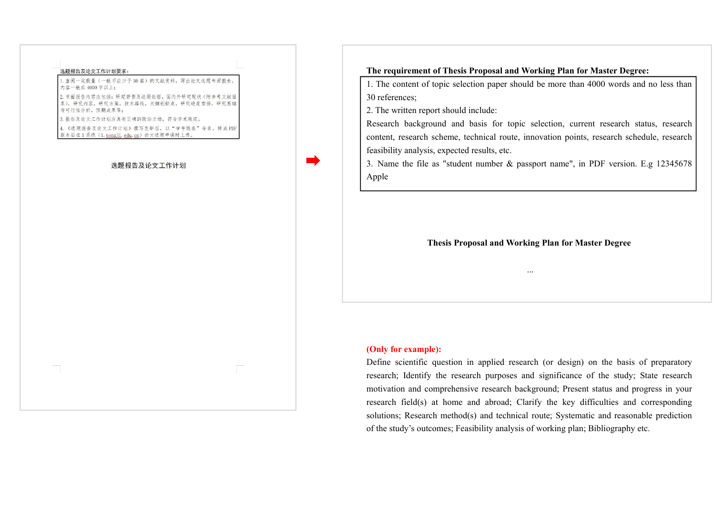

## 选题报告及论文工作计划

**The requirement of Thesis Proposal and Working Plan for Master Degree:**

1. The content of topic selection paper should be more than 4000 words and no less than 30 references;

2. The written report should include:

Research background and basis for topic selection, current research status, research content, research scheme, technical route, innovation points, research schedule, research feasibility analysis, expected results, etc.<br>3. Name the file as "student number & passport name", in PDF version. E.g 12345678

Apple

**Thesis Proposal and Working Plan for Master Degree**

...

## **(Only for example):**

Define scientific question in applied research (or design) on the basis of preparatory research; Identify the research purposes and significance of the study; State research motivation and comprehensive research background; Present status and progress in your research field(s) at home and abroad; Clarify the key difficulties and corresponding solutions; Research method(s) and technical route; Systematic and reasonable prediction of the study's outcomes; Feasibility analysis of working plan; Bibliography etc.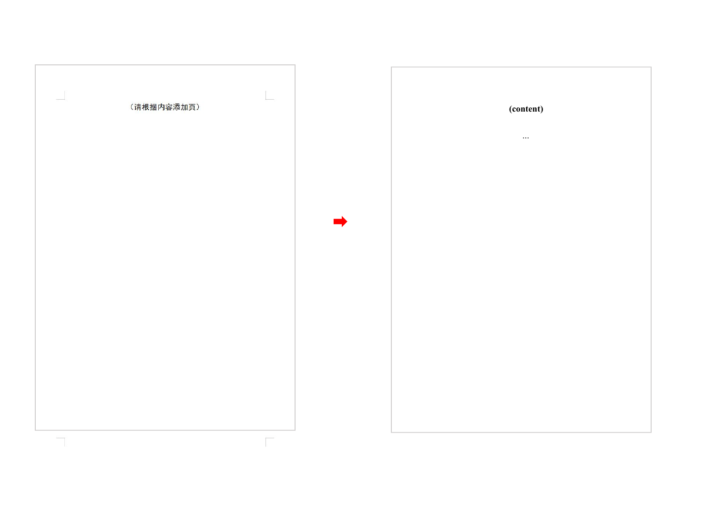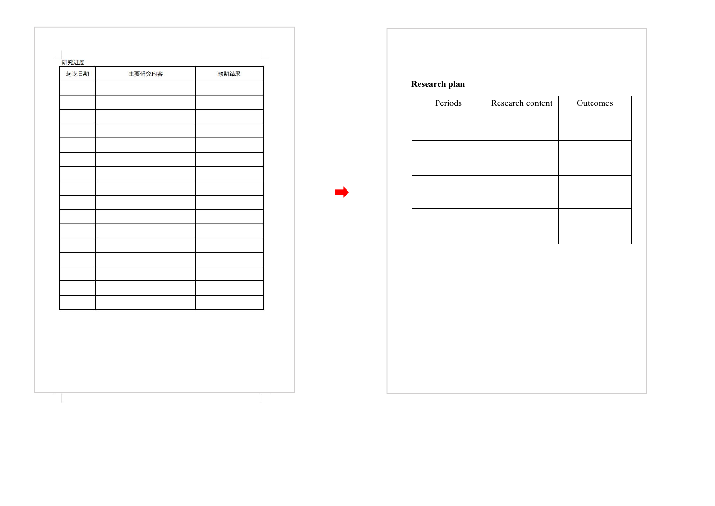| 研究进度<br>起讫日期 | 主要研究内容 | 预期结果 |
|--------------|--------|------|
|              |        |      |
|              |        |      |
|              |        |      |
|              |        |      |
|              |        |      |
|              |        |      |
|              |        |      |
|              |        |      |
|              |        |      |
|              |        |      |
|              |        |      |
|              |        |      |
|              |        |      |
|              |        |      |
|              |        |      |
|              |        |      |
|              |        |      |
|              |        |      |
|              |        |      |
|              |        |      |
|              |        |      |
|              |        |      |
|              |        |      |
|              |        |      |
|              |        |      |
|              |        |      |
|              |        |      |
|              |        |      |
|              |        |      |

**Research plan**

| Periods | Research content | Outcomes |
|---------|------------------|----------|
|         |                  |          |
|         |                  |          |
|         |                  |          |
|         |                  |          |
|         |                  |          |
|         |                  |          |
|         |                  |          |
|         |                  |          |
|         |                  |          |
|         |                  |          |